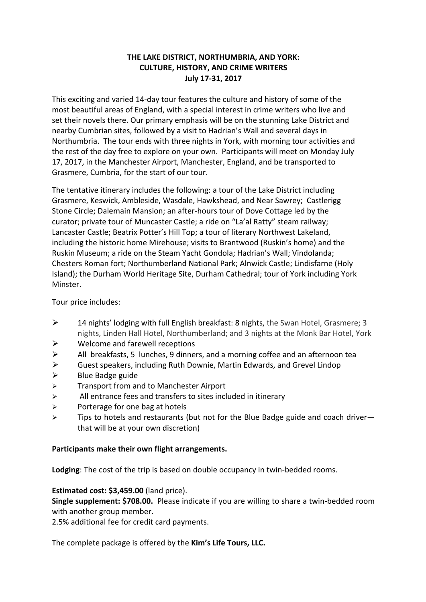## **THE LAKE DISTRICT, NORTHUMBRIA, AND YORK: CULTURE, HISTORY, AND CRIME WRITERS July 17-31, 2017**

This exciting and varied 14-day tour features the culture and history of some of the most beautiful areas of England, with a special interest in crime writers who live and set their novels there. Our primary emphasis will be on the stunning Lake District and nearby Cumbrian sites, followed by a visit to Hadrian's Wall and several days in Northumbria. The tour ends with three nights in York, with morning tour activities and the rest of the day free to explore on your own. Participants will meet on Monday July 17, 2017, in the Manchester Airport, Manchester, England, and be transported to Grasmere, Cumbria, for the start of our tour.

The tentative itinerary includes the following: a tour of the Lake District including Grasmere, Keswick, Ambleside, Wasdale, Hawkshead, and Near Sawrey; Castlerigg Stone Circle; Dalemain Mansion; an after-hours tour of Dove Cottage led by the curator; private tour of Muncaster Castle; a ride on "La'al Ratty" steam railway; Lancaster Castle; Beatrix Potter's Hill Top; a tour of literary Northwest Lakeland, including the historic home Mirehouse; visits to Brantwood (Ruskin's home) and the Ruskin Museum; a ride on the Steam Yacht Gondola; Hadrian's Wall; Vindolanda; Chesters Roman fort; Northumberland National Park; Alnwick Castle; Lindisfarne (Holy Island); the Durham World Heritage Site, Durham Cathedral; tour of York including York Minster.

Tour price includes:

- $\triangleright$  14 nights' lodging with full English breakfast: 8 nights, the Swan Hotel, Grasmere; 3 nights, Linden Hall Hotel, Northumberland; and 3 nights at the Monk Bar Hotel, York
- $\triangleright$  Welcome and farewell receptions
- **►** All breakfasts, 5 lunches, 9 dinners, and a morning coffee and an afternoon tea
- $\triangleright$  Guest speakers, including Ruth Downie, Martin Edwards, and Grevel Lindop
- $\triangleright$  Blue Badge guide
- $\triangleright$  Transport from and to Manchester Airport
- $\triangleright$  All entrance fees and transfers to sites included in itinerary
- $\triangleright$  Porterage for one bag at hotels
- $\triangleright$  Tips to hotels and restaurants (but not for the Blue Badge guide and coach driverthat will be at your own discretion)

## Participants make their own flight arrangements.

**Lodging**: The cost of the trip is based on double occupancy in twin-bedded rooms.

## **Estimated cost: \$3,459.00** (land price).

**Single supplement: \$708.00.** Please indicate if you are willing to share a twin-bedded room with another group member.

2.5% additional fee for credit card payments.

The complete package is offered by the Kim's Life Tours, LLC.